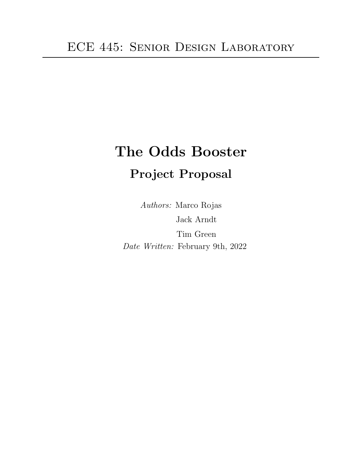# The Odds Booster Project Proposal

Authors: Marco Rojas Jack Arndt Tim Green Date Written: February 9th, 2022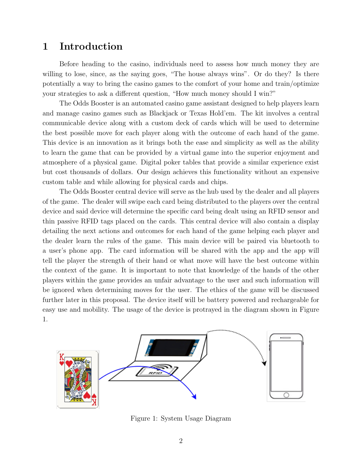## 1 Introduction

Before heading to the casino, individuals need to assess how much money they are willing to lose, since, as the saying goes, "The house always wins". Or do they? Is there potentially a way to bring the casino games to the comfort of your home and train/optimize your strategies to ask a different question, "How much money should I win?"

The Odds Booster is an automated casino game assistant designed to help players learn and manage casino games such as Blackjack or Texas Hold'em. The kit involves a central communicable device along with a custom deck of cards which will be used to determine the best possible move for each player along with the outcome of each hand of the game. This device is an innovation as it brings both the ease and simplicity as well as the ability to learn the game that can be provided by a virtual game into the superior enjoyment and atmosphere of a physical game. Digital poker tables that provide a similar experience exist but cost thousands of dollars. Our design achieves this functionality without an expensive custom table and while allowing for physical cards and chips.

The Odds Booster central device will serve as the hub used by the dealer and all players of the game. The dealer will swipe each card being distributed to the players over the central device and said device will determine the specific card being dealt using an RFID sensor and thin passive RFID tags placed on the cards. This central device will also contain a display detailing the next actions and outcomes for each hand of the game helping each player and the dealer learn the rules of the game. This main device will be paired via bluetooth to a user's phone app. The card information will be shared with the app and the app will tell the player the strength of their hand or what move will have the best outcome within the context of the game. It is important to note that knowledge of the hands of the other players within the game provides an unfair advantage to the user and such information will be ignored when determining moves for the user. The ethics of the game will be discussed further later in this proposal. The device itself will be battery powered and rechargeable for easy use and mobility. The usage of the device is protrayed in the diagram shown in Figure 1.



Figure 1: System Usage Diagram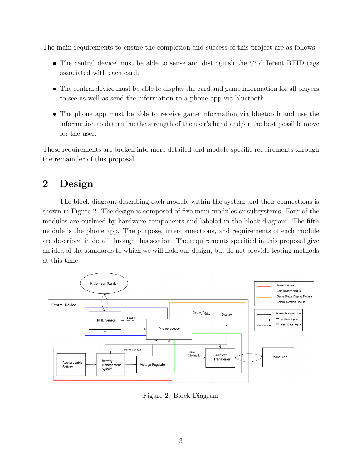The main requirements to ensure the completion and success of this project are as follows.

- The central device must be able to sense and distinguish the 52 different RFID tags associated with each card.
- The central device must be able to display the card and game information for all players to see as well as send the information to a phone app via bluetooth.
- The phone app must be able to receive game information via bluetooth and use the information to determine the strength of the user's hand and/or the best possible move for the user.

These requirements are broken into more detailed and module specific requirements through the remainder of this proposal.

# 2 Design

The block diagram describing each module within the system and their connections is shown in Figure 2. The design is composed of five main modules or subsystems. Four of the modules are outlined by hardware components and labeled in the block diagram. The fifth module is the phone app. The purpose, interconnections, and requirements of each module are described in detail through this section. The requirements specified in this proposal give an idea of the standards to which we will hold our design, but do not provide testing methods at this time.



Figure 2: Block Diagram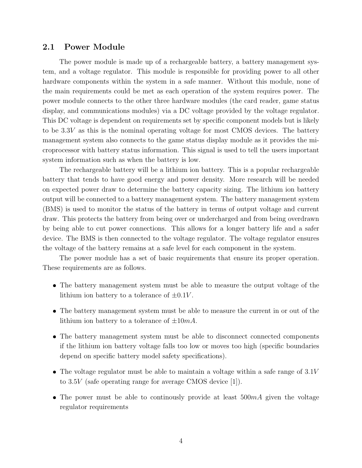#### 2.1 Power Module

The power module is made up of a rechargeable battery, a battery management system, and a voltage regulator. This module is responsible for providing power to all other hardware components within the system in a safe manner. Without this module, none of the main requirements could be met as each operation of the system requires power. The power module connects to the other three hardware modules (the card reader, game status display, and communications modules) via a DC voltage provided by the voltage regulator. This DC voltage is dependent on requirements set by specific component models but is likely to be 3.3V as this is the nominal operating voltage for most CMOS devices. The battery management system also connects to the game status display module as it provides the microprocessor with battery status information. This signal is used to tell the users important system information such as when the battery is low.

The rechargeable battery will be a lithium ion battery. This is a popular rechargeable battery that tends to have good energy and power density. More research will be needed on expected power draw to determine the battery capacity sizing. The lithium ion battery output will be connected to a battery management system. The battery management system (BMS) is used to monitor the status of the battery in terms of output voltage and current draw. This protects the battery from being over or undercharged and from being overdrawn by being able to cut power connections. This allows for a longer battery life and a safer device. The BMS is then connected to the voltage regulator. The voltage regulator ensures the voltage of the battery remains at a safe level for each component in the system.

The power module has a set of basic requirements that ensure its proper operation. These requirements are as follows.

- The battery management system must be able to measure the output voltage of the lithium ion battery to a tolerance of  $\pm 0.1V$ .
- The battery management system must be able to measure the current in or out of the lithium ion battery to a tolerance of  $\pm 10mA$ .
- The battery management system must be able to disconnect connected components if the lithium ion battery voltage falls too low or moves too high (specific boundaries depend on specific battery model safety specifications).
- $\bullet$  The voltage regulator must be able to maintain a voltage within a safe range of  $3.1V$ to 3.5V (safe operating range for average CMOS device [1]).
- The power must be able to continuously provide at least  $500mA$  given the voltage regulator requirements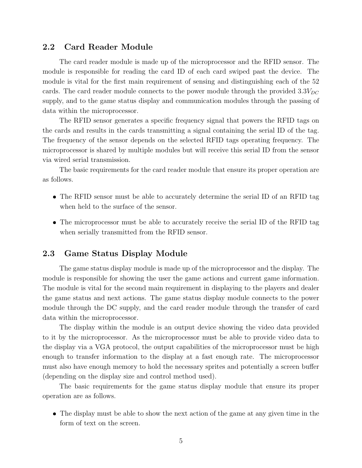#### 2.2 Card Reader Module

The card reader module is made up of the microprocessor and the RFID sensor. The module is responsible for reading the card ID of each card swiped past the device. The module is vital for the first main requirement of sensing and distinguishing each of the 52 cards. The card reader module connects to the power module through the provided  $3.3V_{DC}$ supply, and to the game status display and communication modules through the passing of data within the microprocessor.

The RFID sensor generates a specific frequency signal that powers the RFID tags on the cards and results in the cards transmitting a signal containing the serial ID of the tag. The frequency of the sensor depends on the selected RFID tags operating frequency. The microprocessor is shared by multiple modules but will receive this serial ID from the sensor via wired serial transmission.

The basic requirements for the card reader module that ensure its proper operation are as follows.

- The RFID sensor must be able to accurately determine the serial ID of an RFID tag when held to the surface of the sensor.
- The microprocessor must be able to accurately receive the serial ID of the RFID tag when serially transmitted from the RFID sensor.

#### 2.3 Game Status Display Module

The game status display module is made up of the microprocessor and the display. The module is responsible for showing the user the game actions and current game information. The module is vital for the second main requirement in displaying to the players and dealer the game status and next actions. The game status display module connects to the power module through the DC supply, and the card reader module through the transfer of card data within the microprocessor.

The display within the module is an output device showing the video data provided to it by the microprocessor. As the microprocessor must be able to provide video data to the display via a VGA protocol, the output capabilities of the microprocessor must be high enough to transfer information to the display at a fast enough rate. The microprocessor must also have enough memory to hold the necessary sprites and potentially a screen buffer (depending on the display size and control method used).

The basic requirements for the game status display module that ensure its proper operation are as follows.

 The display must be able to show the next action of the game at any given time in the form of text on the screen.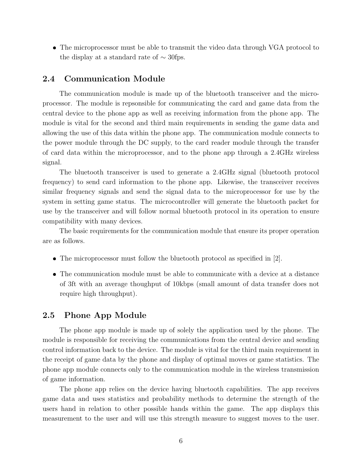The microprocessor must be able to transmit the video data through VGA protocol to the display at a standard rate of  $\sim$  30fps.

#### 2.4 Communication Module

The communication module is made up of the bluetooth transceiver and the microprocessor. The module is repsonsible for communicating the card and game data from the central device to the phone app as well as receiving information from the phone app. The module is vital for the second and third main requirements in sending the game data and allowing the use of this data within the phone app. The communication module connects to the power module through the DC supply, to the card reader module through the transfer of card data within the microprocessor, and to the phone app through a 2.4GHz wireless signal.

The bluetooth transceiver is used to generate a 2.4GHz signal (bluetooth protocol frequency) to send card information to the phone app. Likewise, the transceiver receives similar frequency signals and send the signal data to the microprocessor for use by the system in setting game status. The microcontroller will generate the bluetooth packet for use by the transceiver and will follow normal bluetooth protocol in its operation to ensure compatibility with many devices.

The basic requirements for the communication module that ensure its proper operation are as follows.

- $\bullet$  The microprocessor must follow the bluetooth protocol as specified in [2].
- The communication module must be able to communicate with a device at a distance of 3ft with an average thoughput of 10kbps (small amount of data transfer does not require high throughput).

#### 2.5 Phone App Module

The phone app module is made up of solely the application used by the phone. The module is responsible for receiving the communications from the central device and sending control information back to the device. The module is vital for the third main requirement in the receipt of game data by the phone and display of optimal moves or game statistics. The phone app module connects only to the communication module in the wireless transmission of game information.

The phone app relies on the device having bluetooth capabilities. The app receives game data and uses statistics and probability methods to determine the strength of the users hand in relation to other possible hands within the game. The app displays this measurement to the user and will use this strength measure to suggest moves to the user.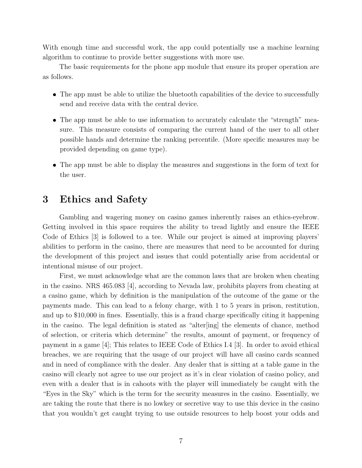With enough time and successful work, the app could potentially use a machine learning algorithm to continue to provide better suggestions with more use.

The basic requirements for the phone app module that ensure its proper operation are as follows.

- The app must be able to utilize the bluetooth capabilities of the device to successfully send and receive data with the central device.
- The app must be able to use information to accurately calculate the "strength" measure. This measure consists of comparing the current hand of the user to all other possible hands and determine the ranking percentile. (More specific measures may be provided depending on game type).
- The app must be able to display the measures and suggestions in the form of text for the user.

### 3 Ethics and Safety

Gambling and wagering money on casino games inherently raises an ethics-eyebrow. Getting involved in this space requires the ability to tread lightly and ensure the IEEE Code of Ethics [3] is followed to a tee. While our project is aimed at improving players' abilities to perform in the casino, there are measures that need to be accounted for during the development of this project and issues that could potentially arise from accidental or intentional misuse of our project.

First, we must acknowledge what are the common laws that are broken when cheating in the casino. NRS 465.083 [4], according to Nevada law, prohibits players from cheating at a casino game, which by definition is the manipulation of the outcome of the game or the payments made. This can lead to a felony charge, with 1 to 5 years in prison, restitution, and up to \$10,000 in fines. Essentially, this is a fraud charge specifically citing it happening in the casino. The legal definition is stated as "alter[ing] the elements of chance, method of selection, or criteria which determine" the results, amount of payment, or frequency of payment in a game [4]; This relates to IEEE Code of Ethics I.4 [3]. In order to avoid ethical breaches, we are requiring that the usage of our project will have all casino cards scanned and in need of compliance with the dealer. Any dealer that is sitting at a table game in the casino will clearly not agree to use our project as it's in clear violation of casino policy, and even with a dealer that is in cahoots with the player will immediately be caught with the "Eyes in the Sky" which is the term for the security measures in the casino. Essentially, we are taking the route that there is no lowkey or secretive way to use this device in the casino that you wouldn't get caught trying to use outside resources to help boost your odds and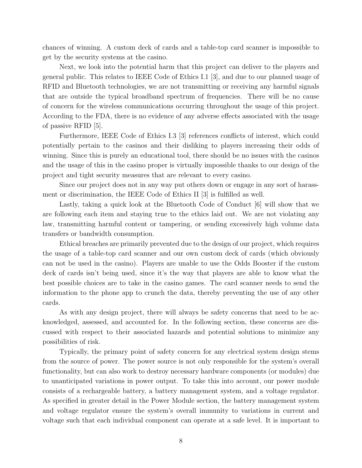chances of winning. A custom deck of cards and a table-top card scanner is impossible to get by the security systems at the casino.

Next, we look into the potential harm that this project can deliver to the players and general public. This relates to IEEE Code of Ethics I.1 [3], and due to our planned usage of RFID and Bluetooth technologies, we are not transmitting or receiving any harmful signals that are outside the typical broadband spectrum of frequencies. There will be no cause of concern for the wireless communications occurring throughout the usage of this project. According to the FDA, there is no evidence of any adverse effects associated with the usage of passive RFID [5].

Furthermore, IEEE Code of Ethics I.3 [3] references conflicts of interest, which could potentially pertain to the casinos and their disliking to players increasing their odds of winning. Since this is purely an educational tool, there should be no issues with the casinos and the usage of this in the casino proper is virtually impossible thanks to our design of the project and tight security measures that are relevant to every casino.

Since our project does not in any way put others down or engage in any sort of harassment or discrimination, the IEEE Code of Ethics II [3] is fulfilled as well.

Lastly, taking a quick look at the Bluetooth Code of Conduct [6] will show that we are following each item and staying true to the ethics laid out. We are not violating any law, transmitting harmful content or tampering, or sending excessively high volume data transfers or bandwidth consumption.

Ethical breaches are primarily prevented due to the design of our project, which requires the usage of a table-top card scanner and our own custom deck of cards (which obviously can not be used in the casino). Players are unable to use the Odds Booster if the custom deck of cards isn't being used, since it's the way that players are able to know what the best possible choices are to take in the casino games. The card scanner needs to send the information to the phone app to crunch the data, thereby preventing the use of any other cards.

As with any design project, there will always be safety concerns that need to be acknowledged, assessed, and accounted for. In the following section, these concerns are discussed with respect to their associated hazards and potential solutions to minimize any possibilities of risk.

Typically, the primary point of safety concern for any electrical system design stems from the source of power. The power source is not only responsible for the system's overall functionality, but can also work to destroy necessary hardware components (or modules) due to unanticipated variations in power output. To take this into account, our power module consists of a rechargeable battery, a battery management system, and a voltage regulator. As specified in greater detail in the Power Module section, the battery management system and voltage regulator ensure the system's overall immunity to variations in current and voltage such that each individual component can operate at a safe level. It is important to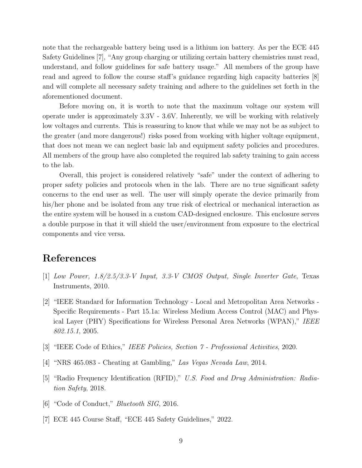note that the rechargeable battery being used is a lithium ion battery. As per the ECE 445 Safety Guidelines [7], "Any group charging or utilizing certain battery chemistries must read, understand, and follow guidelines for safe battery usage." All members of the group have read and agreed to follow the course staff's guidance regarding high capacity batteries [8] and will complete all necessary safety training and adhere to the guidelines set forth in the aforementioned document.

Before moving on, it is worth to note that the maximum voltage our system will operate under is approximately 3.3V - 3.6V. Inherently, we will be working with relatively low voltages and currents. This is reassuring to know that while we may not be as subject to the greater (and more dangerous!) risks posed from working with higher voltage equipment, that does not mean we can neglect basic lab and equipment safety policies and procedures. All members of the group have also completed the required lab safety training to gain access to the lab.

Overall, this project is considered relatively "safe" under the context of adhering to proper safety policies and protocols when in the lab. There are no true significant safety concerns to the end user as well. The user will simply operate the device primarily from his/her phone and be isolated from any true risk of electrical or mechanical interaction as the entire system will be housed in a custom CAD-designed enclosure. This enclosure serves a double purpose in that it will shield the user/environment from exposure to the electrical components and vice versa.

# References

- [1] Low Power, 1.8/2.5/3.3-V Input, 3.3-V CMOS Output, Single Inverter Gate, Texas Instruments, 2010.
- [2] "IEEE Standard for Information Technology Local and Metropolitan Area Networks Specific Requirements - Part 15.1a: Wireless Medium Access Control (MAC) and Physical Layer (PHY) Specifications for Wireless Personal Area Networks (WPAN)," IEEE 802.15.1, 2005.
- [3] "IEEE Code of Ethics," IEEE Policies, Section 7 Professional Activities, 2020.
- [4] "NRS 465.083 Cheating at Gambling," Las Vegas Nevada Law, 2014.
- [5] "Radio Frequency Identification (RFID)," U.S. Food and Drug Administration: Radiation Safety, 2018.
- [6] "Code of Conduct," Bluetooth SIG, 2016.
- [7] ECE 445 Course Staff, "ECE 445 Safety Guidelines," 2022.